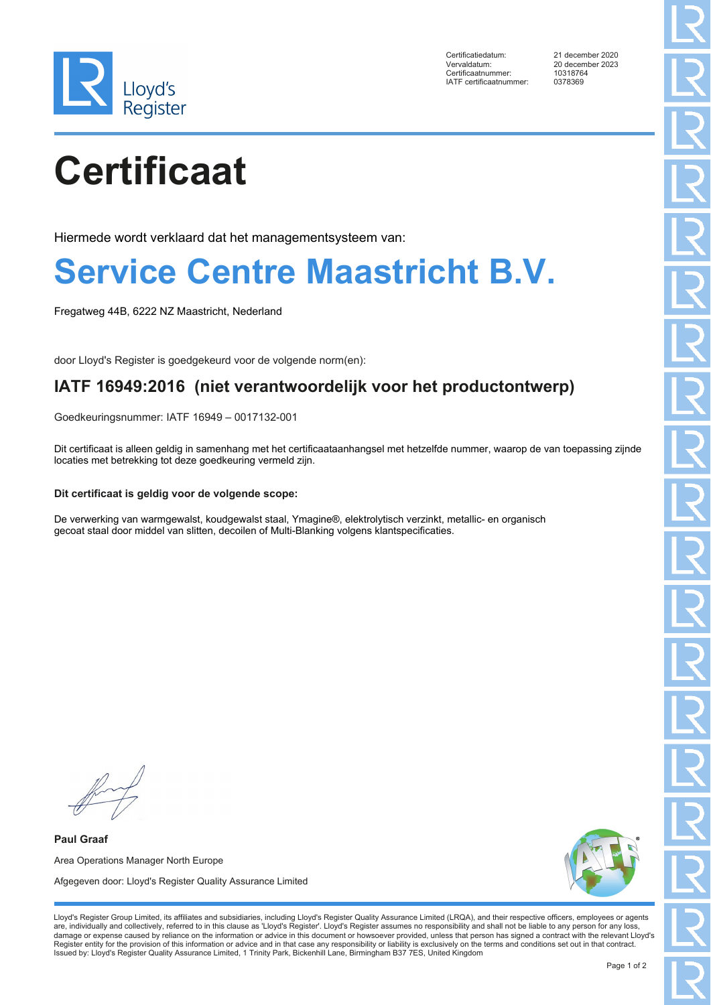

Certificatiedatum: 21 december 2020 Vervaldatum: 20 december 2023 Certificaatnummer: 1031876<br>
IATE certificaatnummer: 0378369 IATF certificaatnummer:

# **Certificaat**

Hiermede wordt verklaard dat het managementsysteem van:

### **Service Centre Maastricht B.V.**

Fregatweg 44B, 6222 NZ Maastricht, Nederland

door Lloyd's Register is goedgekeurd voor de volgende norm(en):

### **IATF 16949:2016 (niet verantwoordelijk voor het productontwerp)**

Goedkeuringsnummer: IATF 16949 – 0017132-001

Dit certificaat is alleen geldig in samenhang met het certificaataanhangsel met hetzelfde nummer, waarop de van toepassing zijnde locaties met betrekking tot deze goedkeuring vermeld zijn.

#### **Dit certificaat is geldig voor de volgende scope:**

De verwerking van warmgewalst, koudgewalst staal, Ymagine®, elektrolytisch verzinkt, metallic- en organisch gecoat staal door middel van slitten, decoilen of Multi-Blanking volgens klantspecificaties.

**Paul Graaf** Area Operations Manager North Europe Afgegeven door: Lloyd's Register Quality Assurance Limited



Lloyd's Register Group Limited, its affiliates and subsidiaries, including Lloyd's Register Quality Assurance Limited (LRQA), and their respective officers, employees or agents are, individually and collectively, referred to in this clause as 'Lloyd's Register'. Lloyd's Register assumes no responsibility and shall not be liable to any person for any loss,<br>damage or expense caused by reliance on t Register entity for the provision of this information or advice and in that case any responsibility or liability is exclusively on the terms and conditions set out in that contract. Issued by: Lloyd's Register Quality Assurance Limited, 1 Trinity Park, Bickenhill Lane, Birmingham B37 7ES, United Kingdom